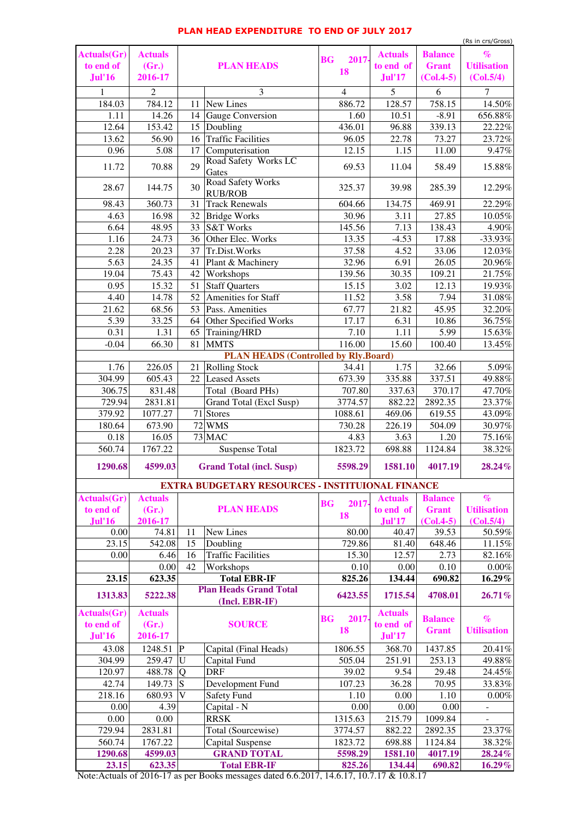| <b>Actuals(Gr)</b> | <b>Actuals</b> | <b>PLAN HEADS</b>       |                                                         | 2017-<br><b>BG</b> | <b>Actuals</b> | <b>Balance</b> | $\%$               |
|--------------------|----------------|-------------------------|---------------------------------------------------------|--------------------|----------------|----------------|--------------------|
| to end of          | (Gr.)          |                         |                                                         | <b>18</b>          | to end of      | <b>Grant</b>   | <b>Utilisation</b> |
| <b>Jul'16</b>      | 2016-17        |                         |                                                         |                    | <b>Jul'17</b>  | $(Col.4-5)$    | (Col.5/4)          |
|                    | 2              |                         | 3                                                       | $\overline{4}$     | 5 <sup>5</sup> | 6              | 7                  |
| 184.03             | 784.12         | 11                      | New Lines                                               | 886.72             | 128.57         | 758.15         | 14.50%             |
| 1.11               | 14.26          | 14                      | <b>Gauge Conversion</b>                                 | 1.60               | 10.51          | $-8.91$        | 656.88%            |
| 12.64              | 153.42         | 15                      | Doubling                                                | 436.01             | 96.88          | 339.13         | 22.22%             |
| 13.62              | 56.90          | 16                      | <b>Traffic Facilities</b>                               | 96.05              | 22.78          | 73.27          | 23.72%             |
| 0.96               | 5.08           | 17                      | Computerisation                                         | 12.15              | 1.15           | 11.00          | 9.47%              |
| 11.72              | 70.88          | 29                      | Road Safety Works LC<br>Gates                           | 69.53              | 11.04          | 58.49          | 15.88%             |
| 28.67              | 144.75         | 30                      | <b>Road Safety Works</b><br><b>RUB/ROB</b>              | 325.37             | 39.98          | 285.39         | 12.29%             |
| 98.43              | 360.73         | 31                      | <b>Track Renewals</b>                                   | 604.66             | 134.75         | 469.91         | 22.29%             |
| 4.63               | 16.98          | 32                      | <b>Bridge Works</b>                                     | 30.96              | 3.11           | 27.85          | 10.05%             |
| 6.64               | 48.95          | 33                      | <b>S&amp;T Works</b>                                    | 145.56             | 7.13           | 138.43         | 4.90%              |
| 1.16               | 24.73          |                         | 36 Other Elec. Works                                    | 13.35              | $-4.53$        | 17.88          | $-33.93\%$         |
| 2.28               | 20.23          | 37                      | Tr.Dist.Works                                           | 37.58              | 4.52           | 33.06          | 12.03%             |
| 5.63               | 24.35          | 41                      | Plant & Machinery                                       | 32.96              | 6.91           | 26.05          | 20.96%             |
| 19.04              | 75.43          | 42                      | <b>Workshops</b>                                        | 139.56             | 30.35          | 109.21         | 21.75%             |
| 0.95               | 15.32          |                         | 51 Staff Quarters                                       | 15.15              | 3.02           | 12.13          | 19.93%             |
| 4.40               | 14.78          | 52                      | Amenities for Staff                                     | 11.52              | 3.58           | 7.94           | 31.08%             |
| 21.62              | 68.56          | 53                      | Pass. Amenities                                         | 67.77              | 21.82          | 45.95          | 32.20%             |
| 5.39               | 33.25          | 64                      | <b>Other Specified Works</b>                            | 17.17              | 6.31           | 10.86          | 36.75%             |
| 0.31               | 1.31           | 65                      | Training/HRD                                            | 7.10               | 1.11           | 5.99           | 15.63%             |
| $-0.04$            | 66.30          | 81                      | <b>MMTS</b>                                             | 116.00             | 15.60          | 100.40         | 13.45%             |
|                    |                |                         | <b>PLAN HEADS (Controlled by Rly.Board)</b>             |                    |                |                |                    |
| 1.76               | 226.05         | 21                      | <b>Rolling Stock</b>                                    | 34.41              | 1.75           | 32.66          | 5.09%              |
| 304.99             | 605.43         | 22                      | <b>Leased Assets</b>                                    | 673.39             | 335.88         | 337.51         | 49.88%             |
| 306.75             | 831.48         |                         | Total (Board PHs)                                       | 707.80             | 337.63         | 370.17         | 47.70%             |
| 729.94             | 2831.81        |                         | <b>Grand Total (Excl Susp)</b>                          | 3774.57            | 882.22         | 2892.35        | 23.37%             |
| 379.92             | 1077.27        |                         | $71$ Stores                                             | 1088.61            | 469.06         | 619.55         | 43.09%             |
| 180.64             | 673.90         |                         | 72 WMS                                                  | 730.28             | 226.19         | 504.09         | 30.97%             |
| 0.18               | 16.05          |                         | $73$ MAC                                                | 4.83               | 3.63           | 1.20           | 75.16%             |
| 560.74             | 1767.22        |                         | <b>Suspense Total</b>                                   | 1823.72            | 698.88         | 1124.84        | 38.32%             |
| 1290.68            | 4599.03        |                         | <b>Grand Total (incl. Susp)</b>                         | 5598.29            | 1581.10        | 4017.19        | $28.24\%$          |
|                    |                |                         | <b>EXTRA BUDGETARY RESOURCES - INSTITUIONAL FINANCE</b> |                    |                |                |                    |
| <b>Actuals(Gr)</b> | <b>Actuals</b> |                         |                                                         |                    | <b>Actuals</b> | <b>Balance</b> | $\%$               |
| to end of          | (Gr.)          |                         | <b>PLAN HEADS</b>                                       | 2017-<br><b>BG</b> | to end of      | <b>Grant</b>   | <b>Utilisation</b> |
| <b>Jul'16</b>      | 2016-17        |                         |                                                         | 18                 | <b>Jul'17</b>  | $(Col.4-5)$    | (Col.5/4)          |
| 0.00               | 74.81          | 11                      | New Lines                                               | 80.00              | 40.47          | 39.53          | 50.59%             |
| 23.15              | 542.08         | 15                      | Doubling                                                | 729.86             | 81.40          | 648.46         | 11.15%             |
| 0.00               | 6.46           | 16                      | <b>Traffic Facilities</b>                               | 15.30              | 12.57          | 2.73           | 82.16%             |
|                    | 0.00           | 42                      | Workshops                                               | 0.10               | 0.00           | 0.10           | $0.00\%$           |
| 23.15              | 623.35         |                         | <b>Total EBR-IF</b>                                     | 825.26             | 134.44         | 690.82         | $16.29\%$          |
|                    |                |                         | <b>Plan Heads Grand Total</b>                           |                    |                |                |                    |
| 1313.83            | 5222.38        |                         | (Incl. EBR-IF)                                          | 6423.55            | 1715.54        | 4708.01        | $26.71\%$          |
| <b>Actuals(Gr)</b> | <b>Actuals</b> |                         |                                                         | 2017-<br><b>BG</b> | <b>Actuals</b> | <b>Balance</b> | $\%$               |
| to end of          | (Gr.)          |                         | <b>SOURCE</b>                                           | <b>18</b>          | to end of      | <b>Grant</b>   | <b>Utilisation</b> |
| <b>Jul'16</b>      | 2016-17        |                         |                                                         |                    | <b>Jul'17</b>  |                |                    |
| 43.08              | 1248.51        | P                       | Capital (Final Heads)                                   | 1806.55            | 368.70         | 1437.85        | $20.41\%$          |
| 304.99             | 259.47         | $\overline{\mathrm{U}}$ | Capital Fund                                            | 505.04             | 251.91         | 253.13         | 49.88%             |
| 120.97             | 488.78         | Q                       | <b>DRF</b>                                              | 39.02              | 9.54           | 29.48          | 24.45%             |
| 42.74              | 149.73         | S                       | Development Fund                                        | 107.23             | 36.28          | 70.95          | 33.83%             |
| 218.16             | 680.93         | V                       | <b>Safety Fund</b>                                      | 1.10               | 0.00           | 1.10           | $0.00\%$           |
| 0.00               | 4.39           |                         | Capital - N                                             | 0.00               | 0.00           | 0.00           |                    |
| 0.00               | 0.00           |                         | <b>RRSK</b>                                             | 1315.63            | 215.79         | 1099.84        |                    |
| 729.94             | 2831.81        |                         | Total (Sourcewise)                                      | 3774.57            | 882.22         | 2892.35        | 23.37%             |
| 560.74             | 1767.22        |                         | <b>Capital Suspense</b>                                 | 1823.72            | 698.88         | 1124.84        | 38.32%             |
| 1290.68            | 4599.03        |                         | <b>GRAND TOTAL</b>                                      | 5598.29            | 1581.10        | 4017.19        | 28.24%             |
| 23.15              | 623.35         |                         | <b>Total EBR-IF</b>                                     | 825.26             | 134.44         | 690.82         | $16.29\%$          |

Note:Actuals of 2016-17 as per Books messages dated 6.6.2017, 14.6.17, 10.7.17 & 10.8.17

## **PLAN HEAD EXPENDITURE TO END OF JULY 2017**

(Rs in crs/Gross)